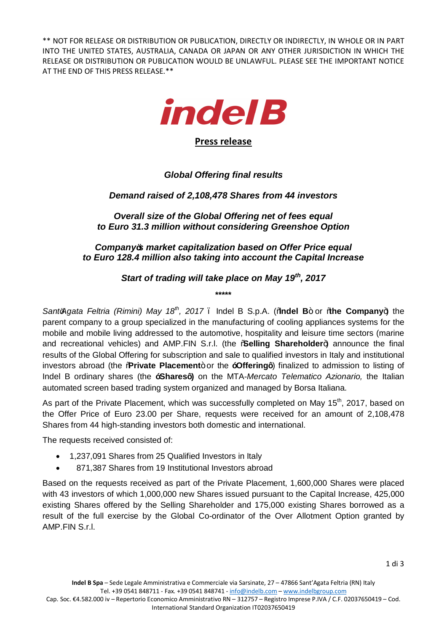\*\* NOT FOR RELEASE OR DISTRIBUTION OR PUBLICATION, DIRECTLY OR INDIRECTLY, IN WHOLE OR IN PART INTO THE UNITED STATES, AUSTRALIA, CANADA OR JAPAN OR ANY OTHER JURISDICTION IN WHICH THE RELEASE OR DISTRIBUTION OR PUBLICATION WOULD BE UNLAWFUL. PLEASE SEE THE IMPORTANT NOTICE AT THE END OF THIS PRESS RELEASE.\*\*



**Press release**

# *Global Offering final results*

## *Demand raised of 2,108,478 Shares from 44 investors*

*Overall size of the Global Offering net of fees equal to Euro 31.3 million without considering Greenshoe Option*

*Company's market capitalization based on Offer Price equal to Euro 128.4 million also taking into account the Capital Increase*

### *Start of trading will take place on May 19th, 2017*

**\*\*\*\*\***

*Sant'Agata Feltria (Rimini) May 18th, 2017* – Indel B S.p.A. ("**Indel B**" or "**the Company**") the parent company to a group specialized in the manufacturing of cooling appliances systems for the mobile and mobile living addressed to the automotive, hospitality and leisure time sectors (marine and recreational vehicles) and AMP.FIN S.r.l. (the **Selling Shareholder**+) announce the final results of the Global Offering for subscription and sale to qualified investors in Italy and institutional investors abroad (the **Rrivate Placement**+ or the **i** Offering<sup>1</sup>) finalized to admission to listing of Indel B ordinary shares (the **"Shares")** on the MTA-*Mercato Telematico Azionario,* the Italian automated screen based trading system organized and managed by Borsa Italiana.

As part of the Private Placement, which was successfully completed on May 15<sup>th</sup>, 2017, based on the Offer Price of Euro 23.00 per Share, requests were received for an amount of 2,108,478 Shares from 44 high-standing investors both domestic and international.

The requests received consisted of:

- · 1,237,091 Shares from 25 Qualified Investors in Italy
- · 871,387 Shares from 19 Institutional Investors abroad

Based on the requests received as part of the Private Placement, 1,600,000 Shares were placed with 43 investors of which 1,000,000 new Shares issued pursuant to the Capital Increase, 425,000 existing Shares offered by the Selling Shareholder and 175,000 existing Shares borrowed as a result of the full exercise by the Global Co-ordinator of the Over Allotment Option granted by AMP.FIN S.r.l.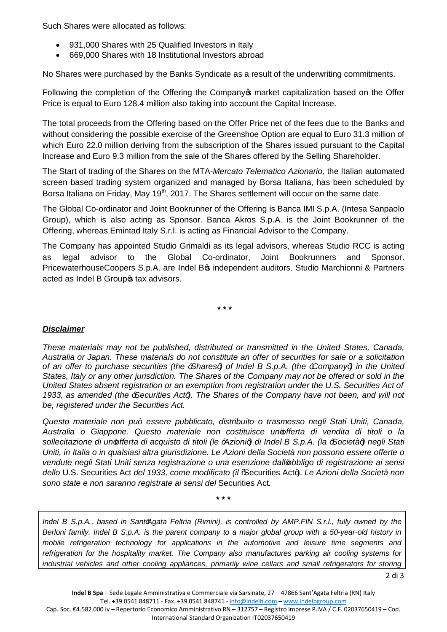Such Shares were allocated as follows:

- 931,000 Shares with 25 Qualified Investors in Italy
- · 669,000 Shares with 18 Institutional Investors abroad

No Shares were purchased by the Banks Syndicate as a result of the underwriting commitments.

Following the completion of the Offering the Company market capitalization based on the Offer Price is equal to Euro 128.4 million also taking into account the Capital Increase.

The total proceeds from the Offering based on the Offer Price net of the fees due to the Banks and without considering the possible exercise of the Greenshoe Option are equal to Euro 31.3 million of which Euro 22.0 million deriving from the subscription of the Shares issued pursuant to the Capital Increase and Euro 9.3 million from the sale of the Shares offered by the Selling Shareholder.

The Start of trading of the Shares on the MTA-*Mercato Telematico Azionario,* the Italian automated screen based trading system organized and managed by Borsa Italiana, has been scheduled by Borsa Italiana on Friday, May 19<sup>th</sup>, 2017. The Shares settlement will occur on the same date.

The Global Co-ordinator and Joint Bookrunner of the Offering is Banca IMI S.p.A. (Intesa Sanpaolo Group), which is also acting as Sponsor. Banca Akros S.p.A. is the Joint Bookrunner of the Offering, whereas Emintad Italy S.r.l. is acting as Financial Advisor to the Company.

The Company has appointed Studio Grimaldi as its legal advisors, whereas Studio RCC is acting as legal advisor to the Global Co-ordinator, Joint Bookrunners and Sponsor. PricewaterhouseCoopers S.p.A. are Indel B<sup>\$</sup> independent auditors. Studio Marchionni & Partners acted as Indel B Groupos tax advisors.

**\* \* \***

#### *Disclaimer*

*These materials may not be published, distributed or transmitted in the United States, Canada, Australia or Japan. These materials do not constitute an offer of securities for sale or a solicitation of an offer to purchase securities (the "Shares") of Indel B S.p.A. (the "Company") in the United States, Italy or any other jurisdiction. The Shares of the Company may not be offered or sold in the United States absent registration or an exemption from registration under the U.S. Securities Act of 1933, as amended (the "Securities Act"). The Shares of the Company have not been, and will not be, registered under the Securities Act.*

*Questo materiale non può essere pubblicato, distribuito o trasmesso negli Stati Uniti, Canada, Australia o Giappone. Questo materiale non costituisce un'offerta di vendita di titoli o la sollecitazione di un'offerta di acquisto di titoli (le "Azioni") di Indel B S.p.A. (la "Società") negli Stati Uniti, in Italia o in qualsiasi altra giurisdizione. Le Azioni della Società non possono essere offerte o vendute negli Stati Uniti senza registrazione o una esenzione dall'obbligo di registrazione ai sensi dello* U.S. Securities Act *del 1933, come modificato (il* "Securities Act"). *Le Azioni della Società non sono state e non saranno registrate ai sensi del* Securities Act*.*

**\* \* \***

*Indel B S.p.A., based in Sant'Agata Feltria (Rimini), is controlled by AMP.FIN S.r.l., fully owned by the Berloni family. Indel B S.p.A. is the parent company to a major global group with a 50-year-old history in mobile refrigeration technology for applications in the automotive and leisure time segments and refrigeration for the hospitality market. The Company also manufactures parking air cooling systems for industrial vehicles and other cooling appliances, primarily wine cellars and small refrigerators for storing*